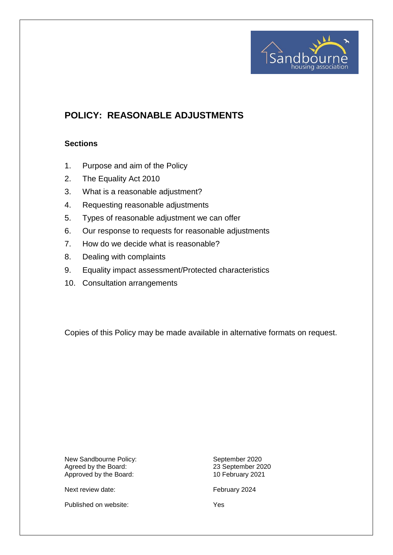

# **POLICY: REASONABLE ADJUSTMENTS**

# **Sections**

- 1. Purpose and aim of the Policy
- 2. The Equality Act 2010
- 3. What is a reasonable adjustment?
- 4. Requesting reasonable adjustments
- 5. Types of reasonable adjustment we can offer
- 6. Our response to requests for reasonable adjustments
- 7. How do we decide what is reasonable?
- 8. Dealing with complaints
- 9. Equality impact assessment/Protected characteristics
- 10. Consultation arrangements

Copies of this Policy may be made available in alternative formats on request.

New Sandbourne Policy:<br>
Agreed by the Board: 
and September 2020<br>
23 September 2020 Agreed by the Board: 23 September 2024<br>Approved by the Board: 2021 Approved by the Board:

Published on website: Yes

Next review date: February 2024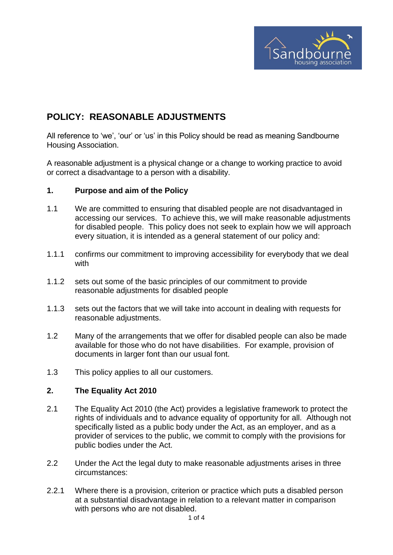

# **POLICY: REASONABLE ADJUSTMENTS**

All reference to 'we', 'our' or 'us' in this Policy should be read as meaning Sandbourne Housing Association.

A reasonable adjustment is a physical change or a change to working practice to avoid or correct a disadvantage to a person with a disability.

# **1. Purpose and aim of the Policy**

- 1.1 We are committed to ensuring that disabled people are not disadvantaged in accessing our services. To achieve this, we will make reasonable adjustments for disabled people. This policy does not seek to explain how we will approach every situation, it is intended as a general statement of our policy and:
- 1.1.1 confirms our commitment to improving accessibility for everybody that we deal with
- 1.1.2 sets out some of the basic principles of our commitment to provide reasonable adjustments for disabled people
- 1.1.3 sets out the factors that we will take into account in dealing with requests for reasonable adjustments.
- 1.2 Many of the arrangements that we offer for disabled people can also be made available for those who do not have disabilities. For example, provision of documents in larger font than our usual font.
- 1.3 This policy applies to all our customers.

# **2. The Equality Act 2010**

- 2.1 The Equality Act 2010 (the Act) provides a legislative framework to protect the rights of individuals and to advance equality of opportunity for all. Although not specifically listed as a public body under the Act, as an employer, and as a provider of services to the public, we commit to comply with the provisions for public bodies under the Act.
- 2.2 Under the Act the legal duty to make reasonable adjustments arises in three circumstances:
- 2.2.1 Where there is a provision, criterion or practice which puts a disabled person at a substantial disadvantage in relation to a relevant matter in comparison with persons who are not disabled.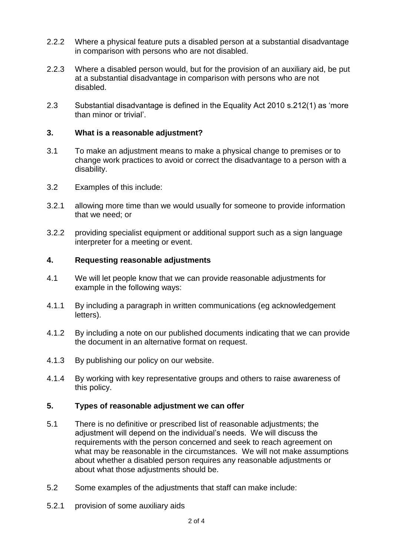- 2.2.2 Where a physical feature puts a disabled person at a substantial disadvantage in comparison with persons who are not disabled.
- 2.2.3 Where a disabled person would, but for the provision of an auxiliary aid, be put at a substantial disadvantage in comparison with persons who are not disabled.
- 2.3 Substantial disadvantage is defined in the Equality Act 2010 s.212(1) as 'more than minor or trivial'.

# **3. What is a reasonable adjustment?**

- 3.1 To make an adjustment means to make a physical change to premises or to change work practices to avoid or correct the disadvantage to a person with a disability.
- 3.2 Examples of this include:
- 3.2.1 allowing more time than we would usually for someone to provide information that we need; or
- 3.2.2 providing specialist equipment or additional support such as a sign language interpreter for a meeting or event.

# **4. Requesting reasonable adjustments**

- 4.1 We will let people know that we can provide reasonable adjustments for example in the following ways:
- 4.1.1 By including a paragraph in written communications (eg acknowledgement letters).
- 4.1.2 By including a note on our published documents indicating that we can provide the document in an alternative format on request.
- 4.1.3 By publishing our policy on our website.
- 4.1.4 By working with key representative groups and others to raise awareness of this policy.

# **5. Types of reasonable adjustment we can offer**

- 5.1 There is no definitive or prescribed list of reasonable adjustments; the adjustment will depend on the individual's needs. We will discuss the requirements with the person concerned and seek to reach agreement on what may be reasonable in the circumstances. We will not make assumptions about whether a disabled person requires any reasonable adjustments or about what those adjustments should be.
- 5.2 Some examples of the adjustments that staff can make include:
- 5.2.1 provision of some auxiliary aids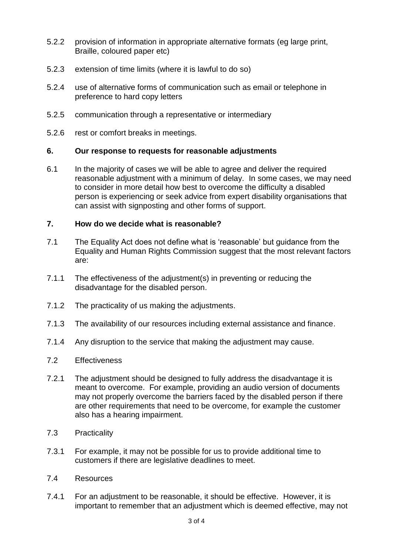- 5.2.2 provision of information in appropriate alternative formats (eg large print, Braille, coloured paper etc)
- 5.2.3 extension of time limits (where it is lawful to do so)
- 5.2.4 use of alternative forms of communication such as email or telephone in preference to hard copy letters
- 5.2.5 communication through a representative or intermediary
- 5.2.6 rest or comfort breaks in meetings.

### **6. Our response to requests for reasonable adjustments**

6.1 In the majority of cases we will be able to agree and deliver the required reasonable adjustment with a minimum of delay. In some cases, we may need to consider in more detail how best to overcome the difficulty a disabled person is experiencing or seek advice from expert disability organisations that can assist with signposting and other forms of support.

### **7. How do we decide what is reasonable?**

- 7.1 The Equality Act does not define what is 'reasonable' but guidance from the Equality and Human Rights Commission suggest that the most relevant factors are:
- 7.1.1 The effectiveness of the adjustment(s) in preventing or reducing the disadvantage for the disabled person.
- 7.1.2 The practicality of us making the adjustments.
- 7.1.3 The availability of our resources including external assistance and finance.
- 7.1.4 Any disruption to the service that making the adjustment may cause.
- 7.2 Effectiveness
- 7.2.1 The adjustment should be designed to fully address the disadvantage it is meant to overcome. For example, providing an audio version of documents may not properly overcome the barriers faced by the disabled person if there are other requirements that need to be overcome, for example the customer also has a hearing impairment.
- 7.3 Practicality
- 7.3.1 For example, it may not be possible for us to provide additional time to customers if there are legislative deadlines to meet.
- 7.4 Resources
- 7.4.1 For an adjustment to be reasonable, it should be effective. However, it is important to remember that an adjustment which is deemed effective, may not